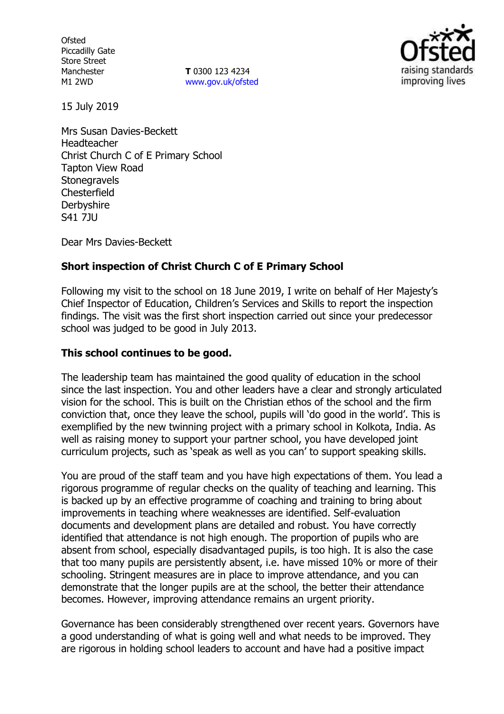**Ofsted** Piccadilly Gate Store Street Manchester M1 2WD

**T** 0300 123 4234 www.gov.uk/ofsted



15 July 2019

Mrs Susan Davies-Beckett Headteacher Christ Church C of E Primary School Tapton View Road **Stonegravels Chesterfield Derbyshire** S41 7JU

Dear Mrs Davies-Beckett

# **Short inspection of Christ Church C of E Primary School**

Following my visit to the school on 18 June 2019, I write on behalf of Her Majesty's Chief Inspector of Education, Children's Services and Skills to report the inspection findings. The visit was the first short inspection carried out since your predecessor school was judged to be good in July 2013.

### **This school continues to be good.**

The leadership team has maintained the good quality of education in the school since the last inspection. You and other leaders have a clear and strongly articulated vision for the school. This is built on the Christian ethos of the school and the firm conviction that, once they leave the school, pupils will 'do good in the world'. This is exemplified by the new twinning project with a primary school in Kolkota, India. As well as raising money to support your partner school, you have developed joint curriculum projects, such as 'speak as well as you can' to support speaking skills.

You are proud of the staff team and you have high expectations of them. You lead a rigorous programme of regular checks on the quality of teaching and learning. This is backed up by an effective programme of coaching and training to bring about improvements in teaching where weaknesses are identified. Self-evaluation documents and development plans are detailed and robust. You have correctly identified that attendance is not high enough. The proportion of pupils who are absent from school, especially disadvantaged pupils, is too high. It is also the case that too many pupils are persistently absent, i.e. have missed 10% or more of their schooling. Stringent measures are in place to improve attendance, and you can demonstrate that the longer pupils are at the school, the better their attendance becomes. However, improving attendance remains an urgent priority.

Governance has been considerably strengthened over recent years. Governors have a good understanding of what is going well and what needs to be improved. They are rigorous in holding school leaders to account and have had a positive impact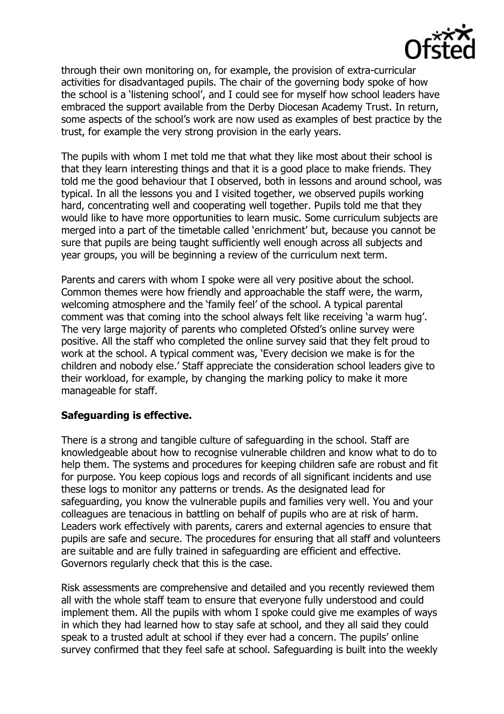

through their own monitoring on, for example, the provision of extra-curricular activities for disadvantaged pupils. The chair of the governing body spoke of how the school is a 'listening school', and I could see for myself how school leaders have embraced the support available from the Derby Diocesan Academy Trust. In return, some aspects of the school's work are now used as examples of best practice by the trust, for example the very strong provision in the early years.

The pupils with whom I met told me that what they like most about their school is that they learn interesting things and that it is a good place to make friends. They told me the good behaviour that I observed, both in lessons and around school, was typical. In all the lessons you and I visited together, we observed pupils working hard, concentrating well and cooperating well together. Pupils told me that they would like to have more opportunities to learn music. Some curriculum subjects are merged into a part of the timetable called 'enrichment' but, because you cannot be sure that pupils are being taught sufficiently well enough across all subjects and year groups, you will be beginning a review of the curriculum next term.

Parents and carers with whom I spoke were all very positive about the school. Common themes were how friendly and approachable the staff were, the warm, welcoming atmosphere and the 'family feel' of the school. A typical parental comment was that coming into the school always felt like receiving 'a warm hug'. The very large majority of parents who completed Ofsted's online survey were positive. All the staff who completed the online survey said that they felt proud to work at the school. A typical comment was, 'Every decision we make is for the children and nobody else.' Staff appreciate the consideration school leaders give to their workload, for example, by changing the marking policy to make it more manageable for staff.

### **Safeguarding is effective.**

There is a strong and tangible culture of safeguarding in the school. Staff are knowledgeable about how to recognise vulnerable children and know what to do to help them. The systems and procedures for keeping children safe are robust and fit for purpose. You keep copious logs and records of all significant incidents and use these logs to monitor any patterns or trends. As the designated lead for safeguarding, you know the vulnerable pupils and families very well. You and your colleagues are tenacious in battling on behalf of pupils who are at risk of harm. Leaders work effectively with parents, carers and external agencies to ensure that pupils are safe and secure. The procedures for ensuring that all staff and volunteers are suitable and are fully trained in safeguarding are efficient and effective. Governors regularly check that this is the case.

Risk assessments are comprehensive and detailed and you recently reviewed them all with the whole staff team to ensure that everyone fully understood and could implement them. All the pupils with whom I spoke could give me examples of ways in which they had learned how to stay safe at school, and they all said they could speak to a trusted adult at school if they ever had a concern. The pupils' online survey confirmed that they feel safe at school. Safeguarding is built into the weekly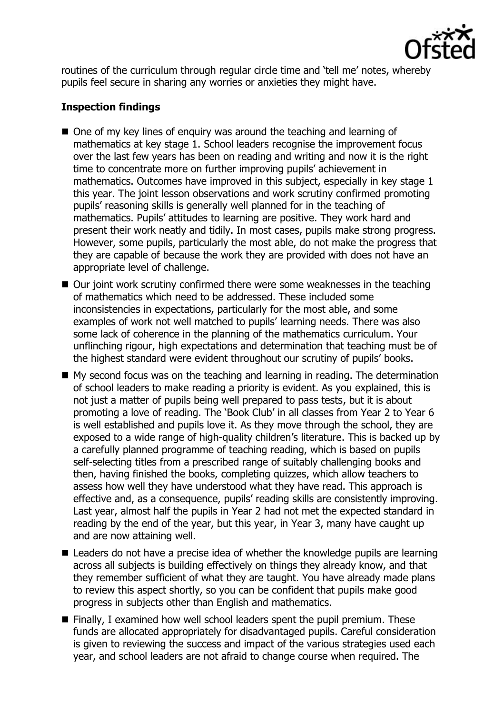

routines of the curriculum through regular circle time and 'tell me' notes, whereby pupils feel secure in sharing any worries or anxieties they might have.

# **Inspection findings**

- One of my key lines of enquiry was around the teaching and learning of mathematics at key stage 1. School leaders recognise the improvement focus over the last few years has been on reading and writing and now it is the right time to concentrate more on further improving pupils' achievement in mathematics. Outcomes have improved in this subject, especially in key stage 1 this year. The joint lesson observations and work scrutiny confirmed promoting pupils' reasoning skills is generally well planned for in the teaching of mathematics. Pupils' attitudes to learning are positive. They work hard and present their work neatly and tidily. In most cases, pupils make strong progress. However, some pupils, particularly the most able, do not make the progress that they are capable of because the work they are provided with does not have an appropriate level of challenge.
- Our joint work scrutiny confirmed there were some weaknesses in the teaching of mathematics which need to be addressed. These included some inconsistencies in expectations, particularly for the most able, and some examples of work not well matched to pupils' learning needs. There was also some lack of coherence in the planning of the mathematics curriculum. Your unflinching rigour, high expectations and determination that teaching must be of the highest standard were evident throughout our scrutiny of pupils' books.
- $\blacksquare$  My second focus was on the teaching and learning in reading. The determination of school leaders to make reading a priority is evident. As you explained, this is not just a matter of pupils being well prepared to pass tests, but it is about promoting a love of reading. The 'Book Club' in all classes from Year 2 to Year 6 is well established and pupils love it. As they move through the school, they are exposed to a wide range of high-quality children's literature. This is backed up by a carefully planned programme of teaching reading, which is based on pupils self-selecting titles from a prescribed range of suitably challenging books and then, having finished the books, completing quizzes, which allow teachers to assess how well they have understood what they have read. This approach is effective and, as a consequence, pupils' reading skills are consistently improving. Last year, almost half the pupils in Year 2 had not met the expected standard in reading by the end of the year, but this year, in Year 3, many have caught up and are now attaining well.
- Leaders do not have a precise idea of whether the knowledge pupils are learning across all subjects is building effectively on things they already know, and that they remember sufficient of what they are taught. You have already made plans to review this aspect shortly, so you can be confident that pupils make good progress in subjects other than English and mathematics.
- Finally, I examined how well school leaders spent the pupil premium. These funds are allocated appropriately for disadvantaged pupils. Careful consideration is given to reviewing the success and impact of the various strategies used each year, and school leaders are not afraid to change course when required. The